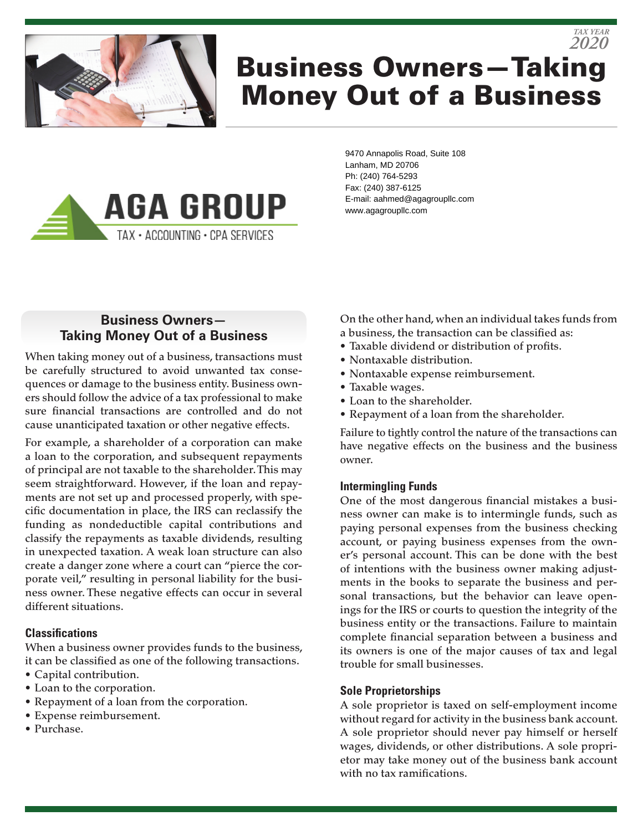

# Business Owners—Taking Money Out of a Business *2020*



9470 Annapolis Road, Suite 108 Lanham, MD 20706 Ph: (240) 764-5293 Fax: (240) 387-6125 E-mail: aahmed@agagroupllc.com www.agagroupllc.com

## **Business Owners— Taking Money Out of a Business**

When taking money out of a business, transactions must be carefully structured to avoid unwanted tax consequences or damage to the business entity. Business owners should follow the advice of a tax professional to make sure financial transactions are controlled and do not cause unanticipated taxation or other negative effects.

For example, a shareholder of a corporation can make a loan to the corporation, and subsequent repayments of principal are not taxable to the shareholder. This may seem straightforward. However, if the loan and repayments are not set up and processed properly, with specific documentation in place, the IRS can reclassify the funding as nondeductible capital contributions and classify the repayments as taxable dividends, resulting in unexpected taxation. A weak loan structure can also create a danger zone where a court can "pierce the corporate veil," resulting in personal liability for the business owner. These negative effects can occur in several different situations.

#### **Classifications**

When a business owner provides funds to the business, it can be classified as one of the following transactions.

- Capital contribution.
- Loan to the corporation.
- Repayment of a loan from the corporation.
- Expense reimbursement.
- Purchase.

On the other hand, when an individual takes funds from a business, the transaction can be classified as:

*TAX YEAR*

- Taxable dividend or distribution of profits.
- Nontaxable distribution.
- Nontaxable expense reimbursement.
- Taxable wages.
- Loan to the shareholder.
- Repayment of a loan from the shareholder.

Failure to tightly control the nature of the transactions can have negative effects on the business and the business owner.

#### **Intermingling Funds**

One of the most dangerous financial mistakes a business owner can make is to intermingle funds, such as paying personal expenses from the business checking account, or paying business expenses from the owner's personal account. This can be done with the best of intentions with the business owner making adjustments in the books to separate the business and personal transactions, but the behavior can leave openings for the IRS or courts to question the integrity of the business entity or the transactions. Failure to maintain complete financial separation between a business and its owners is one of the major causes of tax and legal trouble for small businesses.

#### **Sole Proprietorships**

A sole proprietor is taxed on self-employment income without regard for activity in the business bank account. A sole proprietor should never pay himself or herself wages, dividends, or other distributions. A sole proprietor may take money out of the business bank account with no tax ramifications.